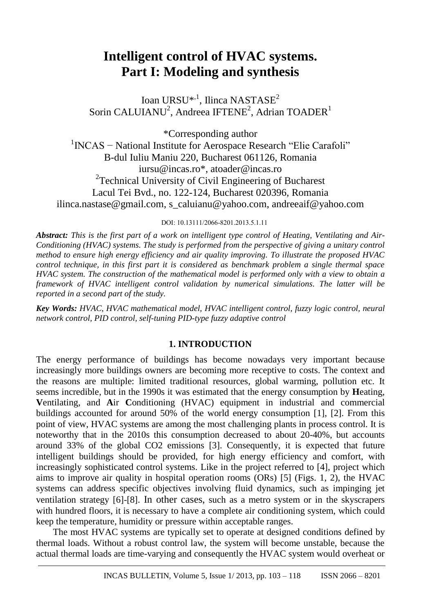# **Intelligent control of HVAC systems. Part I: Modeling and synthesis**

Ioan URSU $^{\ast,1}$ , Ilinca NASTASE $^{2}$ Sorin CALUIANU<sup>2</sup>, Andreea IFTENE<sup>2</sup>, Adrian TOADER<sup>1</sup>

\*Corresponding author

1 INCAS − National Institute for Aerospace Research "Elie Carafoli" B-dul Iuliu Maniu 220, Bucharest 061126, Romania [iursu@incas.ro\\*](mailto:iursu@incas.ro), atoader@incas.ro <sup>2</sup>Technical University of Civil Engineering of Bucharest Lacul Tei Bvd., no. 122-124, Bucharest 020396, Romania [ilinca.nastase@gmail.com,](mailto:ilinca.nastase@gmail.com) [s\\_caluianu@yahoo.com,](mailto:s_caluianu@yahoo.com) [andreeaif@yahoo.com](mailto:andreeaif@yahoo.com)

## DOI: 10.13111/2066-8201.2013.5.1.11

*Abstract: This is the first part of a work on intelligent type control of Heating, Ventilating and Air-Conditioning (HVAC) systems. The study is performed from the perspective of giving a unitary control method to ensure high energy efficiency and air quality improving. To illustrate the proposed HVAC control technique, in this first part it is considered as benchmark problem a single thermal space HVAC system. The construction of the mathematical model is performed only with a view to obtain a framework of HVAC intelligent control validation by numerical simulations. The latter will be reported in a second part of the study.*

*Key Words: HVAC, HVAC mathematical model, HVAC intelligent control, fuzzy logic control, neural network control, PID control, self-tuning PID-type fuzzy adaptive control*

# **1. INTRODUCTION**

The energy performance of buildings has become nowadays very important because increasingly more buildings owners are becoming more receptive to costs. The context and the reasons are multiple: limited traditional resources, global warming, pollution etc. It seems incredible, but in the 1990s it was estimated that the energy consumption by **H**eating, **V**entilating, and **A**ir **C**onditioning (HVAC) equipment in industrial and commercial buildings accounted for around 50% of the world energy consumption [1], [2]. From this point of view, HVAC systems are among the most challenging plants in process control. It is noteworthy that in the 2010s this consumption decreased to about 20-40%, but accounts around 33% of the global CO2 emissions [3]. Consequently, it is expected that future intelligent buildings should be provided, for high energy efficiency and comfort, with increasingly sophisticated control systems. Like in the project referred to [4], project which aims to improve air quality in hospital operation rooms (ORs) [5] (Figs. 1, 2), the HVAC systems can address specific objectives involving fluid dynamics, such as impinging jet ventilation strategy [6]-[8]. In other cases, such as a metro system or in the skyscrapers with hundred floors, it is necessary to have a complete air conditioning system, which could keep the temperature, humidity or pressure within acceptable ranges.

The most HVAC systems are typically set to operate at designed conditions defined by thermal loads. Without a robust control law, the system will become unstable, because the actual thermal loads are time-varying and consequently the HVAC system would overheat or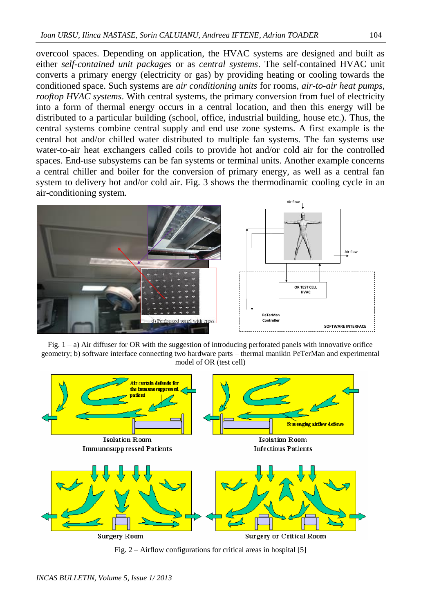overcool spaces. Depending on application, the HVAC systems are designed and built as either *self-contained unit packages* or as *central systems*. The self-contained HVAC unit converts a primary energy (electricity or gas) by providing heating or cooling towards the conditioned space. Such systems are *air conditioning units* for rooms, *air-to-air heat pumps*, *rooftop HVAC systems*. With central systems, the primary conversion from fuel of electricity into a form of thermal energy occurs in a central location, and then this energy will be distributed to a particular building (school, office, industrial building, house etc.). Thus, the central systems combine central supply and end use zone systems. A first example is the central hot and/or chilled water distributed to multiple fan systems. The fan systems use water-to-air heat exchangers called coils to provide hot and/or cold air for the controlled spaces. End-use subsystems can be fan systems or terminal units. Another example concerns a central chiller and boiler for the conversion of primary energy, as well as a central fan system to delivery hot and/or cold air. Fig. 3 shows the thermodinamic cooling cycle in an air-conditioning system.



Fig. 1 – a) Air diffuser for OR with the suggestion of introducing perforated panels with innovative orifice geometry; b) software interface connecting two hardware parts – thermal manikin PeTerMan and experimental model of OR (test cell)



Fig. 2 – Airflow configurations for critical areas in hospital [5]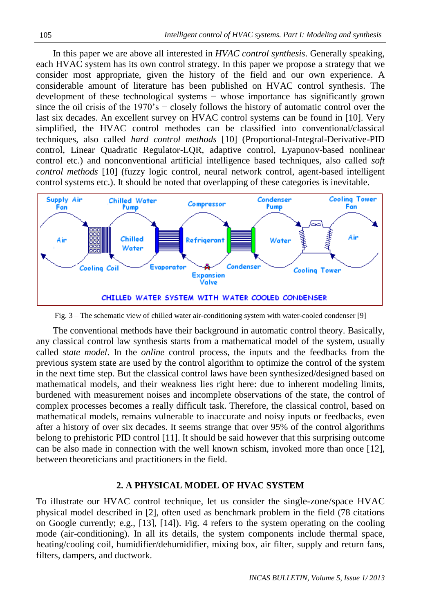In this paper we are above all interested in *HVAC control synthesis*. Generally speaking, each HVAC system has its own control strategy. In this paper we propose a strategy that we consider most appropriate, given the history of the field and our own experience. A considerable amount of literature has been published on HVAC control synthesis. The development of these technological systems − whose importance has significantly grown since the oil crisis of the 1970's − closely follows the history of automatic control over the last six decades. An excellent survey on HVAC control systems can be found in [10]. Very simplified, the HVAC control methodes can be classified into conventional/classical techniques, also called *hard control methods* [10] (Proportional-Integral-Derivative-PID control, Linear Quadratic Regulator-LQR, adaptive control, Lyapunov-based nonlinear control etc.) and nonconventional artificial intelligence based techniques, also called *soft control methods* [10] (fuzzy logic control, neural network control, agent-based intelligent control systems etc.). It should be noted that overlapping of these categories is inevitable.



Fig. 3 – The schematic view of chilled water air-conditioning system with water-cooled condenser [9]

The conventional methods have their background in automatic control theory. Basically, any classical control law synthesis starts from a mathematical model of the system, usually called *state model*. In the *online* control process, the inputs and the feedbacks from the previous system state are used by the control algorithm to optimize the control of the system in the next time step. But the classical control laws have been synthesized/designed based on mathematical models, and their weakness lies right here: due to inherent modeling limits, burdened with measurement noises and incomplete observations of the state, the control of complex processes becomes a really difficult task. Therefore, the classical control, based on mathematical models, remains vulnerable to inaccurate and noisy inputs or feedbacks, even after a history of over six decades. It seems strange that over 95% of the control algorithms belong to prehistoric PID control [11]. It should be said however that this surprising outcome can be also made in connection with the well known schism, invoked more than once [12], between theoreticians and practitioners in the field.

# **2. A PHYSICAL MODEL OF HVAC SYSTEM**

To illustrate our HVAC control technique, let us consider the single-zone/space HVAC physical model described in [2], often used as benchmark problem in the field (78 citations on Google currently; e.g., [13], [14]). Fig. 4 refers to the system operating on the cooling mode (air-conditioning). In all its details, the system components include thermal space, heating/cooling coil, humidifier/dehumidifier, mixing box, air filter, supply and return fans, filters, dampers, and ductwork.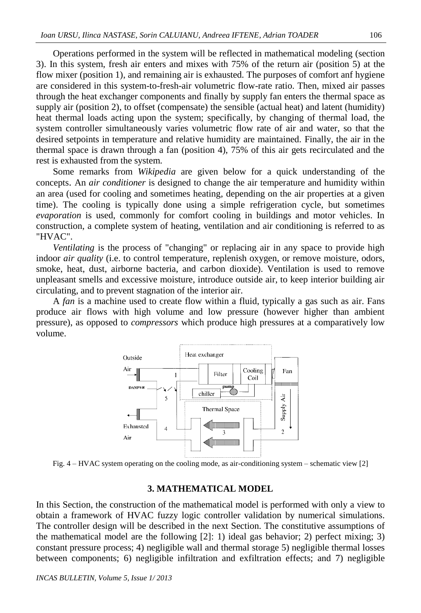Operations performed in the system will be reflected in mathematical modeling (section 3). In this system, fresh air enters and mixes with 75% of the return air (position 5) at the flow mixer (position 1), and remaining air is exhausted. The purposes of comfort anf hygiene are considered in this system-to-fresh-air volumetric flow-rate ratio. Then, mixed air passes through the heat exchanger components and finally by supply fan enters the thermal space as supply air (position 2), to offset (compensate) the sensible (actual heat) and latent (humidity) heat thermal loads acting upon the system; specifically, by changing of thermal load, the system controller simultaneously varies volumetric flow rate of air and water, so that the desired setpoints in temperature and relative humidity are maintained. Finally, the air in the thermal space is drawn through a fan (position 4), 75% of this air gets recirculated and the rest is exhausted from the system.

Some remarks from *Wikipedia* are given below for a quick understanding of the concepts. An *air conditioner* is designed to change the air temperature and humidity within an area (used for cooling and sometimes heating, depending on the air properties at a given time). The cooling is typically done using a simple [refrigeration cycle,](http://en.wikipedia.org/wiki/Refrigeration_cycle) but sometimes *[evaporation](http://en.wikipedia.org/wiki/Evaporative_cooler)* is used, commonly for comfort cooling in buildings and motor vehicles. In [construction,](http://en.wikipedia.org/wiki/Construction) a complete system of heating, [ventilation](http://en.wikipedia.org/wiki/Ventilation_%28architecture%29) and air conditioning is referred to as ["HVAC"](http://en.wikipedia.org/wiki/HVAC).

*Ventilating* is the process of "changing" or replacing air in any space to provide high indoor *[air quality](http://en.wikipedia.org/wiki/Indoor_air_quality)* (i.e. to control temperature, replenish oxygen, or remove moisture, odors, smoke, heat, dust, airborne bacteria, and carbon dioxide). Ventilation is used to remove unpleasant smells and excessive moisture, introduce outside air, to keep interior building air circulating, and to prevent stagnation of the interior air.

A *fan* is a [machine](http://en.wikipedia.org/wiki/Machine) used to create flow within a [fluid,](http://en.wikipedia.org/wiki/Fluid) typically a [gas](http://en.wikipedia.org/wiki/Gas) such as [air.](http://en.wikipedia.org/wiki/Air) Fans produce air flows with high volume and low pressure (however higher than ambient pressure), as opposed to *[compressors](http://en.wikipedia.org/wiki/Gas_compressor)* which produce high pressures at a comparatively low volume.



Fig.  $4 - HVAC$  system operating on the cooling mode, as air-conditioning system – schematic view [2]

## **3. MATHEMATICAL MODEL**

In this Section, the construction of the mathematical model is performed with only a view to obtain a framework of HVAC fuzzy logic controller validation by numerical simulations. The controller design will be described in the next Section. The constitutive assumptions of the mathematical model are the following [2]: 1) ideal gas behavior; 2) perfect mixing; 3) constant pressure process; 4) negligible wall and thermal storage 5) negligible thermal losses between components; 6) negligible infiltration and exfiltration effects; and 7) negligible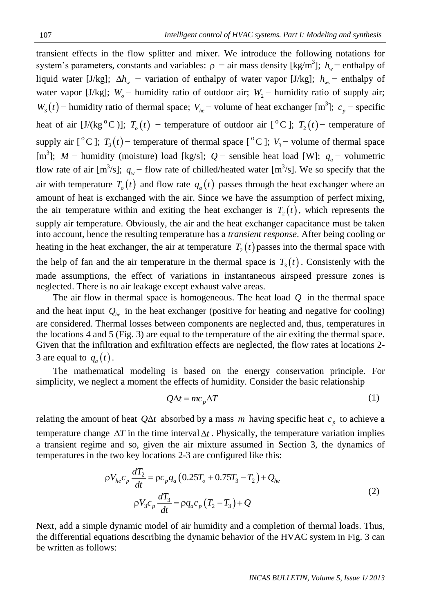transient effects in the flow splitter and mixer. We introduce the following notations for system's parameters, constants and variables:  $\rho$  – air mass density [kg/m<sup>3</sup>];  $h_w$  – enthalpy of liquid water [J/kg];  $\Delta h_w$  – variation of enthalpy of water vapor [J/kg];  $h_{wv}$  – enthalpy of water vapor [J/kg];  $W_0$  – humidity ratio of outdoor air;  $W_2$  – humidity ratio of supply air; *W*<sub>3</sub>(*t*) – humidity ratio of thermal space;  $V_{he}$  – volume of heat exchanger [m<sup>3</sup>];  $c_p$  – specific heat of air [J/(kg<sup>o</sup>C)];  $T_o(t)$  – temperature of outdoor air [<sup>o</sup>C];  $T_2(t)$  – temperature of supply air  $[^{\circ}C]$ ;  $T_3(t)$  – temperature of thermal space  $[^{\circ}C]$ ;  $V_3$  – volume of thermal space [m<sup>3</sup>];  $M$  – humidity (moisture) load [kg/s];  $Q$  – sensible heat load [W];  $q_a$  – volumetric flow rate of air  $[m^3/s]$ ;  $q_w$  – flow rate of chilled/heated water  $[m^3/s]$ . We so specify that the air with temperature  $T_o(t)$  and flow rate  $q_a(t)$  passes through the heat exchanger where an amount of heat is exchanged with the air. Since we have the assumption of perfect mixing, the air temperature within and exiting the heat exchanger is  $T_2(t)$ , which represents the supply air temperature. Obviously, the air and the heat exchanger capacitance must be taken into account, hence the resulting temperature has a *transient response*. After being cooling or heating in the heat exchanger, the air at temperature  $T_2(t)$  passes into the thermal space with the help of fan and the air temperature in the thermal space is  $T_3(t)$ . Consistenly with the made assumptions, the effect of variations in instantaneous airspeed pressure zones is neglected. There is no air leakage except exhaust valve areas.

The air flow in thermal space is homogeneous. The heat load *Q* in the thermal space and the heat input  $Q_{he}$  in the heat exchanger (positive for heating and negative for cooling) are considered. Thermal losses between components are neglected and, thus, temperatures in the locations 4 and 5 (Fig. 3) are equal to the temperature of the air exiting the thermal space. Given that the infiltration and exfiltration effects are neglected, the flow rates at locations 2- 3 are equal to  $q_a(t)$ .

The mathematical modeling is based on the energy conservation principle. For simplicity, we neglect a moment the effects of humidity. Consider the basic relationship

$$
Q\Delta t = mc_p \Delta T \tag{1}
$$

relating the amount of heat  $Q\Delta t$  absorbed by a mass m having specific heat  $c_p$  to achieve a temperature change  $\Delta T$  in the time interval  $\Delta t$ . Physically, the temperature variation implies a transient regime and so, given the air mixture assumed in Section 3, the dynamics of temperatures in the two key locations 2-3 are configured like this:

$$
\rho V_{he} c_p \frac{dT_2}{dt} = \rho c_p q_a (0.25T_o + 0.75T_3 - T_2) + Q_{he}
$$
  
\n
$$
\rho V_3 c_p \frac{dT_3}{dt} = \rho q_a c_p (T_2 - T_3) + Q
$$
\n(2)

Next, add a simple dynamic model of air humidity and a completion of thermal loads. Thus, the differential equations describing the dynamic behavior of the HVAC system in Fig. 3 can be written as follows: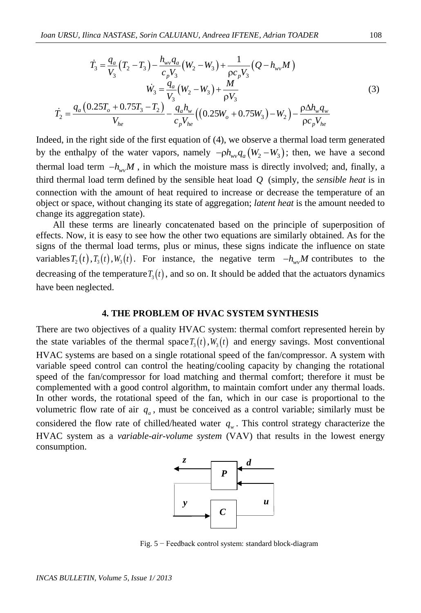Ioan URSU, Ilinca NASTASE, Sorin CALUIANU, Andrea IFTENE, Adrian TOADER

\n
$$
\dot{T}_3 = \frac{q_a}{V_3} \left( T_2 - T_3 \right) - \frac{h_{w} q_a}{c_p V_3} \left( W_2 - W_3 \right) + \frac{1}{\rho c_p V_3} \left( Q - h_{w} M \right)
$$
\n
$$
\dot{W}_3 = \frac{q_a}{V_3} \left( W_2 - W_3 \right) + \frac{M}{\rho V_3}
$$
\n
$$
\dot{T}_2 = \frac{q_a \left( 0.25T_o + 0.75T_3 - T_2 \right)}{V_{he}} - \frac{q_a h_w}{c_p V_{he}} \left( \left( 0.25W_o + 0.75W_3 \right) - W_2 \right) - \frac{\rho \Delta h_w q_w}{\rho c_p V_{he}}
$$
\n(3)

Indeed, in the right side of the first equation of (4), we observe a thermal load term generated by the enthalpy of the water vapors, namely  $-\rho h_{wv} q_a (W_2 - W_3)$ ; then, we have a second thermal load term  $-h_{wv}M$ , in which the moisture mass is directly involved; and, finally, a third thermal load term defined by the sensible heat load *Q* (simply, the *sensible heat* is in connection with the amount of heat required to increase or decrease the temperature of an object or space, without changing its state of aggregation; *latent heat* is the amount needed to change its aggregation state).

All these terms are linearly concatenated based on the principle of superposition of effects. Now, it is easy to see how the other two equations are similarly obtained. As for the signs of the thermal load terms, plus or minus, these signs indicate the influence on state variables  $T_2(t)$ ,  $T_3(t)$ ,  $W_3(t)$ . For instance, the negative term  $-h_{wv}M$  contributes to the decreasing of the temperature  $T_3(t)$ , and so on. It should be added that the actuators dynamics have been neglected.

## **4. THE PROBLEM OF HVAC SYSTEM SYNTHESIS**

There are two objectives of a quality HVAC system: thermal comfort represented herein by the state variables of the thermal space  $T_3(t)$ ,  $W_3(t)$  and energy savings. Most conventional HVAC systems are based on a single rotational speed of the fan/compressor. A system with variable speed control can control the heating/cooling capacity by changing the rotational speed of the fan/compressor for load matching and thermal comfort; therefore it must be complemented with a good control algorithm, to maintain comfort under any thermal loads. In other words, the rotational speed of the fan, which in our case is proportional to the volumetric flow rate of air  $q_a$ , must be conceived as a control variable; similarly must be considered the flow rate of chilled/heated water  $q_w$ . This control strategy characterize the HVAC system as a *variable-air-volume system* (VAV) that results in the lowest energy consumption.



Fig. 5 − Feedback control system: standard block-diagram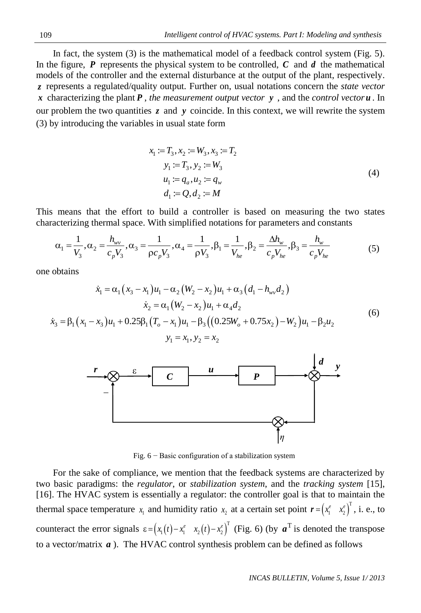In fact, the system (3) is the mathematical model of a feedback control system (Fig. 5). In the figure,  $P$  represents the physical system to be controlled,  $C$  and  $d$  the mathematical models of the controller and the external disturbance at the output of the plant, respectively. *z* represents a regulated/quality output. Further on, usual notations concern the *state vector x* characterizing the plant *P* , *the measurement output vector y* , and the *control vector u* . In our problem the two quantities  $z$  and  $y$  coincide. In this context, we will rewrite the system (3) by introducing the variables in usual state form

$$
x_1 := T_3, x_2 := W_3, x_3 := T_2
$$
  
\n
$$
y_1 := T_3, y_2 := W_3
$$
  
\n
$$
u_1 := q_a, u_2 := q_w
$$
  
\n
$$
d_1 := Q, d_2 := M
$$
\n(4)

This means that the effort to build a controller is based on measuring the two states<br>characterizing thermal space. With simplified notations for parameters and constants<br> $\alpha_1 = \frac{1}{r_1}, \alpha_2 = \frac{h_{yy}}{r_1}, \alpha_3 = \frac{1}{r_2}, \alpha_4$ 

Thus means that the effort to build a controller is based on measuring the two state characterizing thermal space. With simplified notations for parameters and constants

\n
$$
\alpha_1 = \frac{1}{V_3}, \alpha_2 = \frac{h_{wv}}{c_p V_3}, \alpha_3 = \frac{1}{\rho c_p V_3}, \alpha_4 = \frac{1}{\rho V_3}, \beta_1 = \frac{1}{V_{he}}, \beta_2 = \frac{\Delta h_w}{c_p V_{he}}, \beta_3 = \frac{h_w}{c_p V_{he}} \tag{5}
$$

one obtains

obtains  
\n
$$
\dot{x}_1 = \alpha_1 (x_3 - x_1) u_1 - \alpha_2 (W_2 - x_2) u_1 + \alpha_3 (d_1 - h_{wv} d_2)
$$
\n
$$
\dot{x}_2 = \alpha_1 (W_2 - x_2) u_1 + \alpha_4 d_2
$$
\n
$$
\dot{x}_3 = \beta_1 (x_1 - x_3) u_1 + 0.25 \beta_1 (T_o - x_1) u_1 - \beta_3 ((0.25W_o + 0.75x_2) - W_2) u_1 - \beta_2 u_2
$$
\n
$$
y_1 = x_1, y_2 = x_2
$$
\n(6)



Fig. 6 − Basic configuration of a stabilization system

For the sake of compliance, we mention that the feedback systems are characterized by two basic paradigms: the *regulator*, or *stabilization system*, and the *tracking system* [15], [16]. The HVAC system is essentially a regulator: the controller goal is that to maintain the thermal space temperature  $x_1$  and humidity ratio  $x_2$  at a certain set point  $\mathbf{r} = (x_1^e - x_2^e)^T$  $\mathbf{r} = (x_1^e \quad x_2^e)$ , i. e., to counteract the error signals  $\varepsilon = (x_1(t) - x_1^e - x_2(t) - x_2^e)^T$  (Fig. 6) (by  $a^T$  is denoted the transpose to a vector/matrix *a* ). The HVAC control synthesis problem can be defined as follows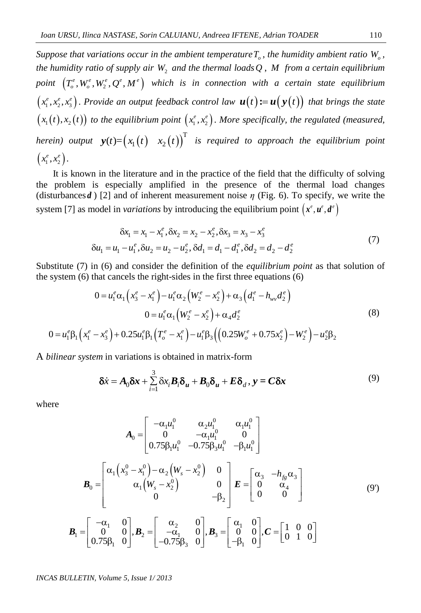*Suppose that variations occur in the ambient temperature*  $T_o$ , the humidity ambient ratio  $W_o$ , *the humidity ratio of supply air*  $W_2$  *and the thermal loads*  $Q$  ,  $M$  *from a certain equilibrium*  $point \; \left(T^e_o, W^e_o, W^e_2, Q^e, M^e\right)$  which is in connection with a certain state equilibrium  $(x_1^e, x_2^e, x_3^e)$ . Provide an output feedback control law  $\boldsymbol{u}(t) := \boldsymbol{u}(y(t))$  that brings the state  $(x_1(t), x_2(t))$  to the equilibrium point  $(x_1^e, x_2^e)$ . More specifically, the regulated (measured, herein) output  $\mathbf{y}(t){=}\big(x_1\big(t\big)$   $\mathbf{x}_2\big(t)\big)^{\text{T}}$  is required to approach the equilibrium point  $\left(x_1^e, x_2^e\right)$ .

It is known in the literature and in the practice of the field that the difficulty of solving the problem is especially amplified in the presence of the thermal load changes (disturbances *d* ) [2] and of inherent measurement noise *η* (Fig. 6). To specify, we write the

system [7] as model in *variations* by introducing the equilibrium point 
$$
(x^e, u^e, d^e)
$$
  
\n
$$
\delta x_1 = x_1 - x_1^e, \delta x_2 = x_2 - x_2^e, \delta x_3 = x_3 - x_3^e
$$
\n
$$
\delta u_1 = u_1 - u_1^e, \delta u_2 = u_2 - u_2^e, \delta d_1 = d_1 - d_1^e, \delta d_2 = d_2 - d_2^e
$$
\n(7)

Substitute (7) in (6) and consider the definition of the *equilibrium point* as that solution of (6) and consider the definition of the *equilibrium polon* trancels the right-sides in the first three equations (6)<br>=  $u_1^e \alpha_1 (x_3^e - x_1^e) - u_1^e \alpha_2 (W_2^e - x_2^e) + \alpha_3 (d_1^e - h_{wv} d_2^e)$ 

the system (6) that cancels the right-sides in the first three equations (6)  
\n
$$
0 = u_1^e \alpha_1 (x_3^e - x_1^e) - u_1^e \alpha_2 (W_2^e - x_2^e) + \alpha_3 (d_1^e - h_{wv} d_2^e)
$$
\n
$$
0 = u_1^e \alpha_1 (W_2^e - x_2^e) + \alpha_4 d_2^e
$$
\n
$$
0 = u_1^e \beta_1 (x_1^e - x_3^e) + 0.25 u_1^e \beta_1 (T_2^e - x_1^e) - u_1^e \beta_3 ((0.25 W_2^e + 0.75 x_2^e) - W_2^e) - u_2^e \beta_2
$$
\n(8)

A *bilinear system* in variations is obtained in matrix-form

$$
\delta \dot{x} = A_0 \delta x + \sum_{i=1}^{3} \delta x_i B_i \delta_u + B_0 \delta_u + E \delta_d, y = C \delta x
$$
\n(9)

where

$$
A_0 = \begin{bmatrix} -\alpha_1 u_1^0 & \alpha_2 u_1^0 & \alpha_1 u_1^0 \\ 0 & -\alpha_1 u_1^0 & 0 \\ 0.75 \beta_1 u_1^0 & -0.75 \beta_3 u_1^0 & -\beta_1 u_1^0 \end{bmatrix}
$$

$$
B_0 = \begin{bmatrix} \alpha_1 (x_3^0 - x_1^0) - \alpha_2 (W_s - x_2^0) & 0 \\ \alpha_1 (W_s - x_2^0) & 0 & E \\ 0 & -\beta_2 \end{bmatrix} E = \begin{bmatrix} \alpha_3 & -h_{fg} \alpha_3 \\ 0 & \alpha_4 \\ 0 & 0 \end{bmatrix}
$$
(9')
$$
B_1 = \begin{bmatrix} -\alpha_1 & 0 \\ 0 & 0 \\ 0.75 \beta_1 & 0 \end{bmatrix}, B_2 = \begin{bmatrix} \alpha_2 & 0 \\ -\alpha_1 & 0 \\ -0.75 \beta_3 & 0 \end{bmatrix}, B_3 = \begin{bmatrix} \alpha_1 & 0 \\ 0 & 0 \\ -\beta_1 & 0 \end{bmatrix}, C = \begin{bmatrix} 1 & 0 & 0 \\ 0 & 1 & 0 \end{bmatrix}
$$

*INCAS BULLETIN, Volume 5, Issue 1/ 2013*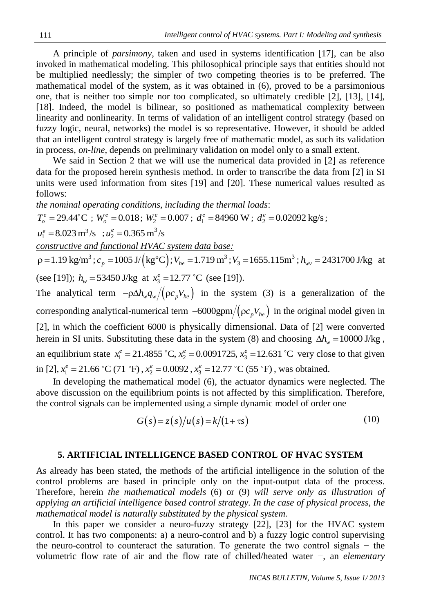A principle of *parsimony*, taken and used in systems identification [17], can be also invoked in mathematical modeling. This philosophical principle says that entities should not be multiplied needlessly; the simpler of two competing theories is to be preferred. The mathematical model of the system, as it was obtained in (6), proved to be a parsimonious one, that is neither too simple nor too complicated, so ultimately credible [2], [13], [14], [18]. Indeed, the model is bilinear, so positioned as mathematical complexity between linearity and nonlinearity. In terms of validation of an intelligent control strategy (based on fuzzy logic, neural, networks) the model is so representative. However, it should be added that an intelligent control strategy is largely free of mathematic model, as such its validation in process, *on-line*, depends on preliminary validation on model only to a small extent.

We said in Section 2 that we will use the numerical data provided in [2] as reference data for the proposed herein synthesis method. In order to transcribe the data from [2] in SI units were used information from sites [19] and [20]. These numerical values resulted as follows:

*the nominal operating conditions, including the thermal loads*:  $T_o^e = 29.44^\circ \text{C}$ ;  $W_o^e = 0.018$ ;  $W_2^e = 0.007$ ;  $d_1^e = 84960 \text{ W}$ ;  $d_2^e = 0.02092 \text{ kg/s}$ ;  $u_1^e = 8.023 \text{ m}^3/\text{s}$  ;  $u_2^e = 0.365 \text{ m}^3/\text{s}$ *constructive and functional HVAC system data base:*  $\rho = 1.19 \text{ kg/m}^3$ ;  $c_p = 1005 \text{ J/(kg}^{\circ}\text{C)}$ ;  $V_{he} = 1.719 \text{ m}^3$ ;  $V_3 = 1655.115 \text{ m}^3$ ;  $h_{wv} = 2431700 \text{ J/kg}$  at (see [19]);  $h_w = 53450 \text{ J/kg}$  at  $x_3^e = 12.77 \text{ °C}$  (see [19]). The analytical term  $-\rho \Delta h_w q_w / (\rho c_p V_{he})$  in the system (3) is a generalization of the corresponding analytical-numerical term  $-6000$ gpm $/(\rho c_p V_{he})$  in the original model given in [2], in which the coefficient 6000 is physically dimensional. Data of [2] were converted herein in SI units. Substituting these data in the system (8) and choosing  $\Delta h_w = 10000 \text{ J/kg}$ , herein in SI units. Substituting these data in the system (8) and choosing  $\Delta h_w = 10000 \text{ J/kg}$ ,<br>an equilibrium state  $x_1^e = 21.4855 \text{ °C}$ ,  $x_2^e = 0.0091725$ ,  $x_3^e = 12.631 \text{ °C}$  very close to that given in [2],  $x_1^e = 21.66$  °C (71 °F),  $x_2^e = 0.0092$ ,  $x_3^e = 12.77$  °C (55 °F), was obtained.

In developing the mathematical model (6), the actuator dynamics were neglected. The above discussion on the equilibrium points is not affected by this simplification. Therefore, the control signals can be implemented using a simple dynamic model of order one

$$
G(s) = z(s)/u(s) = k/(1+\tau s)
$$
\n(10)

#### **5. ARTIFICIAL INTELLIGENCE BASED CONTROL OF HVAC SYSTEM**

As already has been stated, the methods of the artificial intelligence in the solution of the control problems are based in principle only on the input-output data of the process. Therefore, herein *the mathematical models* (6) or (9) *will serve only as illustration of applying an artificial intelligence based control strategy. In the case of physical process, the mathematical model is naturally substituted by the physical system.*

In this paper we consider a neuro-fuzzy strategy [22], [23] for the HVAC system control. It has two components: a) a neuro-control and b) a fuzzy logic control supervising the neuro-control to counteract the saturation. To generate the two control signals − the volumetric flow rate of air and the flow rate of chilled/heated water −, an *elementary*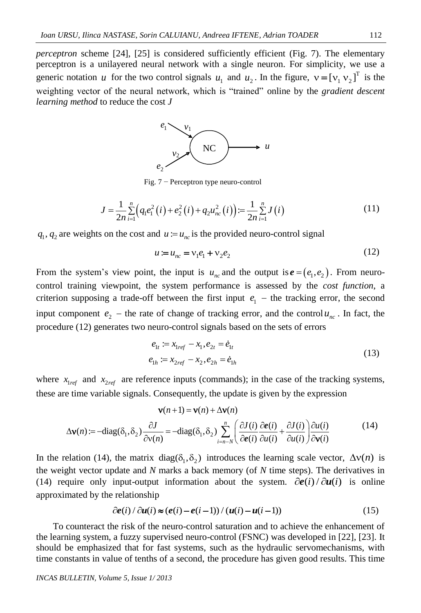*perceptron* scheme [24], [25] is considered sufficiently efficient (Fig. 7). The elementary perceptron is a unilayered neural network with a single neuron. For simplicity, we use a generic notation *u* for the two control signals  $u_1$  and  $u_2$ . In the figure,  $v = [v_1 v_2]^T$  is the weighting vector of the neural network, which is "trained" online by the *gradient descent learning method* to reduce the cost *J*



Fig. 7 − Perceptron type neuro-control

$$
J = \frac{1}{2n} \sum_{i=1}^{n} \left( q_i e_1^2 (i) + e_2^2 (i) + q_2 u_{nc}^2 (i) \right) := \frac{1}{2n} \sum_{i=1}^{n} J(i)
$$
(11)

 $q_1, q_2$  are weights on the cost and  $u := u_{nc}$  is the provided neuro-control signal

$$
u := u_{nc} = v_1 e_1 + v_2 e_2 \tag{12}
$$

From the system's view point, the input is  $u_{nc}$  and the output is  $e = (e_1, e_2)$ . From neurocontrol training viewpoint, the system performance is assessed by the *cost function*, a criterion supposing a trade-off between the first input  $e_1$  – the tracking error, the second input component  $e_2$  – the rate of change of tracking error, and the control  $u_{nc}$ . In fact, the procedure (12) generates two neuro-control signals based on the sets of errors

$$
e_{1t} := x_{1ref} - x_1, e_{2t} = \dot{e}_{1t}
$$
  
\n
$$
e_{1h} := x_{2ref} - x_2, e_{2h} = \dot{e}_{1h}
$$
\n(13)

where  $x_{1ref}$  and  $x_{2ref}$  are reference inputs (commands); in the case of the tracking systems, these are time variable signals. Consequently, the update is given by the expression  $\mathbf{v}(n+1) = \mathbf{v}(n) + \Delta \mathbf{v}(n)$ these are time variable signals. Consequently, the update is given by the expression onsequently, the upd<br>  $(n+1) = v(n) + \Delta v(n)$ 

$$
\mathbf{v}(n+1) = \mathbf{v}(n) + \Delta \mathbf{v}(n)
$$
  
\n
$$
\Delta \mathbf{v}(n) := -\text{diag}(\delta_1, \delta_2) \frac{\partial J}{\partial v(n)} = -\text{diag}(\delta_1, \delta_2) \sum_{i=n-N}^{n} \left( \frac{\partial J(i)}{\partial e(i)} \frac{\partial e(i)}{\partial u(i)} + \frac{\partial J(i)}{\partial u(i)} \frac{\partial u(i)}{\partial v(i)} \right)
$$
(14)

In the relation (14), the matrix diag( $\delta_1, \delta_2$ ) introduces the learning scale vector,  $\Delta v(n)$  is the weight vector update and *N* marks a back memory (of *N* time steps). The derivatives in (14) require only input-output information about the system.  $\partial e(i) / \partial u(i)$  is online approximated by the relationship

$$
\begin{aligned} \text{relationship} \\ \partial e(i) / \partial u(i) &\approx (e(i) - e(i-1)) / (u(i) - u(i-1)) \end{aligned} \tag{15}
$$

To counteract the risk of the neuro-control saturation and to achieve the enhancement of the learning system, a fuzzy supervised neuro-control (FSNC) was developed in [22], [23]. It should be emphasized that for fast systems, such as the hydraulic servomechanisms, with time constants in value of tenths of a second, the procedure has given good results. This time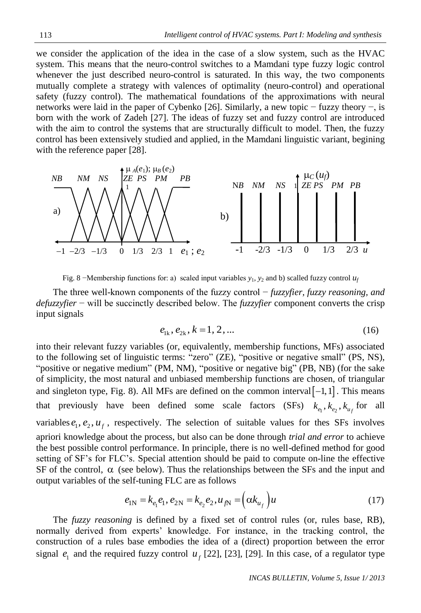we consider the application of the idea in the case of a slow system, such as the HVAC system. This means that the neuro-control switches to a Mamdani type fuzzy logic control whenever the just described neuro-control is saturated. In this way, the two components mutually complete a strategy with valences of optimality (neuro-control) and operational safety (fuzzy control). The mathematical foundations of the approximations with neural networks were laid in the paper of Cybenko [26]. Similarly, a new topic − fuzzy theory −, is born with the work of Zadeh [27]. The ideas of fuzzy set and fuzzy control are introduced with the aim to control the systems that are structurally difficult to model. Then, the fuzzy control has been extensively studied and applied, in the Mamdani linguistic variant, begining with the reference paper [28].



Fig. 8 –Membership functions for: a) scaled input variables  $y_1, y_2$  and b) scalled fuzzy control  $u_j$ 

The three well-known components of the fuzzy control − *fuzzyfier, fuzzy reasoning, and defuzzyfier* − will be succinctly described below. The *fuzzyfier* component converts the crisp input signals

$$
e_{1k}, e_{2k}, k = 1, 2, \dots \tag{16}
$$

into their relevant fuzzy variables (or, equivalently, membership functions, MFs) associated to the following set of linguistic terms: "zero" (ZE), "positive or negative small" (PS, NS), "positive or negative medium" (PM, NM), "positive or negative big" (PB, NB) (for the sake of simplicity, the most natural and unbiased membership functions are chosen, of triangular and singleton type, Fig. 8). All MFs are defined on the common interval  $[-1,1]$ . This means that previously have been defined some scale factors (SFs)  $k_{e_1}$ ,  $k_{e_2}$ ,  $k_{u_f}$  for all variables  $e_1, e_2, u_f$ , respectively. The selection of suitable values for thes SFs involves apriori knowledge about the process, but also can be done through *trial and error* to achieve the best possible control performance. In principle, there is no well-defined method for good setting of SF's for FLC's. Special attention should be paid to compute on-line the effective  $SF$  of the control,  $\alpha$  (see below). Thus the relationships between the SFs and the input and

output variables of the self-tuning FLC are as follows  
\n
$$
e_{1N} = k_{e_1} e_1, e_{2N} = k_{e_2} e_2, u_{fN} = (\alpha k_{u_f}) u
$$
\n(17)

The *fuzzy reasoning* is defined by a fixed set of control rules (or, rules base, RB), normally derived from experts' knowledge. For instance, in the tracking control, the construction of a rules base embodies the idea of a (direct) proportion between the error signal  $e_1$  and the required fuzzy control  $u_f$  [22], [23], [29]. In this case, of a regulator type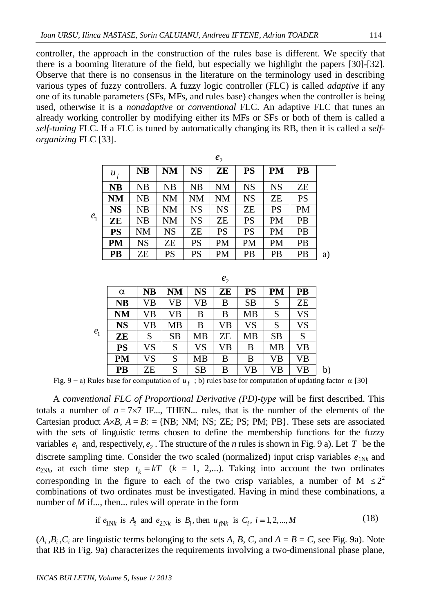controller, the approach in the construction of the rules base is different. We specify that there is a booming literature of the field, but especially we highlight the papers [30]-[32]. Observe that there is no consensus in the literature on the terminology used in describing various types of fuzzy controllers. A fuzzy logic controller (FLC) is called *adaptive* if any one of its tunable parameters (SFs, MFs, and rules base) changes when the controller is being used, otherwise it is a *nonadaptive* or *conventional* FLC. An adaptive FLC that tunes an already working controller by modifying either its MFs or SFs or both of them is called a *self-tuning* FLC. If a FLC is tuned by automatically changing its RB, then it is called a *selforganizing* FLC [33].

|         |           |           |           |           | e <sub>2</sub> |           |           |           |    |
|---------|-----------|-----------|-----------|-----------|----------------|-----------|-----------|-----------|----|
|         | $u_f$     | <b>NB</b> | <b>NM</b> | <b>NS</b> | ZE             | <b>PS</b> | <b>PM</b> | <b>PB</b> |    |
|         | <b>NB</b> | NB        | NB        | NB        | <b>NM</b>      | <b>NS</b> | <b>NS</b> | ZE        |    |
|         | <b>NM</b> | NB        | <b>NM</b> | <b>NM</b> | <b>NM</b>      | <b>NS</b> | ZΕ        | <b>PS</b> |    |
|         | <b>NS</b> | NB        | <b>NM</b> | <b>NS</b> | <b>NS</b>      | ZΕ        | <b>PS</b> | <b>PM</b> |    |
| $e_{1}$ | ZE        | NB        | NM        | <b>NS</b> | ZE             | <b>PS</b> | PM        | PB        |    |
|         | <b>PS</b> | NM        | <b>NS</b> | ZE        | <b>PS</b>      | <b>PS</b> | <b>PM</b> | PB        |    |
|         | <b>PM</b> | <b>NS</b> | ZΕ        | <b>PS</b> | <b>PM</b>      | <b>PM</b> | <b>PM</b> | PB        |    |
|         | PB        | ZΕ        | PS        | <b>PS</b> | <b>PM</b>      | PB        | PB        | PB        | a) |

|           |           |           |           | e <sub>2</sub> |           |           |           |
|-----------|-----------|-----------|-----------|----------------|-----------|-----------|-----------|
| α         | NB        | <b>NM</b> | <b>NS</b> | ZE             | <b>PS</b> | PM        | PB        |
| <b>NB</b> | VB        | VB        | VB        | B              | <b>SB</b> | S         | <b>ZE</b> |
| <b>NM</b> | VB        | VB        | B         | B              | <b>MB</b> | S         | <b>VS</b> |
| <b>NS</b> | VB        | <b>MB</b> | B         | VB             | VS        | S         | <b>VS</b> |
| ZE        | S         | <b>SB</b> | <b>MB</b> | <b>ZE</b>      | <b>MB</b> | SB        | S         |
| <b>PS</b> | <b>VS</b> | S         | VS        | VB             | В         | <b>MB</b> | VB        |
| <b>PM</b> | VS        | S         | МB        | B              | В         | VB        | VB        |
| PB        | ZE        | S         | <b>SB</b> | В              | VВ        | VB        | VB        |

Fig. 9 – a) Rules base for computation of  $u_f$ ; b) rules base for computation of updating factor  $\alpha$  [30]

A *conventional FLC of Proportional Derivative (PD)-type* will be first described. This totals a number of  $n = 7 \times 7$  IF..., THEN... rules, that is the number of the elements of the Cartesian product  $A \times B$ ,  $A = B$ :  $= \{NB; NM; NS; ZE; PS; PM; PB\}$ . These sets are associated with the sets of linguistic terms chosen to define the membership functions for the fuzzy variables  $e_1$  and, respectively,  $e_2$ . The structure of the *n* rules is shown in Fig. 9 a). Let *T* be the discrete sampling time. Consider the two scaled (normalized) input crisp variables  $e_{1Nk}$  and  $e_{2Nk}$ , at each time step  $t_k = kT$  ( $k = 1, 2,...$ ). Taking into account the two ordinates corresponding in the figure to each of the two crisp variables, a number of M  $\leq 2^2$ combinations of two ordinates must be investigated. Having in mind these combinations, a number of *M* if..., then... rules will operate in the form<br>if  $e_{1Nk}$  is  $A_i$  and  $e_{2Nk}$  is  $B_i$ , then  $u_{fNk}$  is  $C_i$ ,  $i = 1, 2, ..., M$ 

if 
$$
e_{1Nk}
$$
 is  $A_i$  and  $e_{2Nk}$  is  $B_i$ , then  $u_{Nk}$  is  $C_i$ ,  $i = 1, 2, \dots, M$  (18)

 $(A_i, B_i, C_i)$  are linguistic terms belonging to the sets *A*, *B*, *C*, and  $A = B = C$ , see Fig. 9a). Note that RB in Fig. 9a) characterizes the requirements involving a two-dimensional phase plane,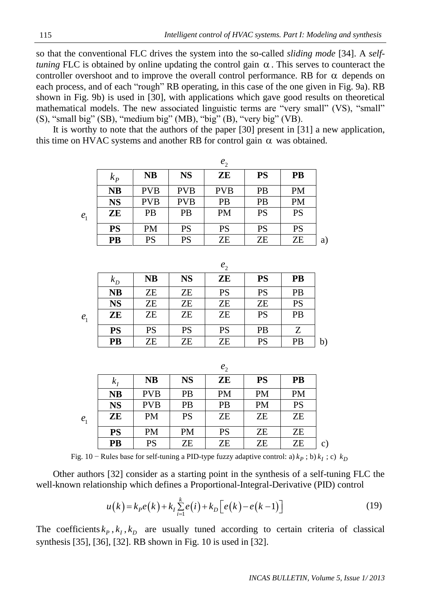so that the conventional FLC drives the system into the so-called *sliding mode* [34]. A *selftuning* FLC is obtained by online updating the control gain  $\alpha$ . This serves to counteract the controller overshoot and to improve the overall control performance. RB for  $\alpha$  depends on each process, and of each "rough" RB operating, in this case of the one given in Fig. 9a). RB shown in Fig. 9b) is used in [30], with applications which gave good results on theoretical mathematical models. The new associated linguistic terms are "very small" (VS), "small" (S), "small big" (SB), "medium big" (MB), "big" (B), "very big" (VB).

It is worthy to note that the authors of the paper [30] present in [31] a new application, this time on HVAC systems and another RB for control gain  $\alpha$  was obtained.

|         |           |            |            | e <sub>2</sub> |           |           |    |
|---------|-----------|------------|------------|----------------|-----------|-----------|----|
|         | $k_{p}$   | <b>NB</b>  | <b>NS</b>  | ZE             | <b>PS</b> | PB        |    |
|         | <b>NB</b> | <b>PVB</b> | <b>PVB</b> | <b>PVB</b>     | PB        | <b>PM</b> |    |
|         | <b>NS</b> | <b>PVB</b> | <b>PVB</b> | PB             | PB        | <b>PM</b> |    |
| $e_{1}$ | ZE        | PB         | PB         | <b>PM</b>      | <b>PS</b> | <b>PS</b> |    |
|         | <b>PS</b> | <b>PM</b>  | <b>PS</b>  | <b>PS</b>      | <b>PS</b> | <b>PS</b> |    |
|         | PB        | PS         | PS         | ZE             | ZE        | ZE        | a) |

|           |           |           | e <sub>2</sub> |           |           |    |
|-----------|-----------|-----------|----------------|-----------|-----------|----|
| $k_{D}$   | <b>NB</b> | <b>NS</b> | ZE             | <b>PS</b> | <b>PB</b> |    |
| <b>NB</b> | ZΕ        | ZΕ        | <b>PS</b>      | <b>PS</b> | PB        |    |
| <b>NS</b> | ZE        | <b>ZE</b> | <b>ZE</b>      | <b>ZE</b> | <b>PS</b> |    |
| ZE        | ZE        | ZE        | <b>ZE</b>      | <b>PS</b> | PB        |    |
| <b>PS</b> | <b>PS</b> | PS        | PS             | PB        | Ζ         |    |
| PB        | ZΕ        | <b>ZE</b> | ZΕ             | <b>PS</b> | PB        | b) |

|         |           |            |           | e <sub>2</sub> |           |           |               |
|---------|-----------|------------|-----------|----------------|-----------|-----------|---------------|
|         | $K_I$     | <b>NB</b>  | <b>NS</b> | ZE             | <b>PS</b> | PB        |               |
|         | <b>NB</b> | <b>PVB</b> | PB        | <b>PM</b>      | <b>PM</b> | <b>PM</b> |               |
|         | <b>NS</b> | <b>PVB</b> | PB        | PB             | <b>PM</b> | PS        |               |
| $e_{1}$ | ZE        | PM         | <b>PS</b> | ZE             | <b>ZE</b> | ZΕ        |               |
|         | <b>PS</b> | <b>PM</b>  | <b>PM</b> | <b>PS</b>      | <b>ZE</b> | ZΕ        |               |
|         | PB        | PS         | ZE        | ZΕ             | ZE        | ZE        | $\mathbf{c})$ |

Fig. 10 – Rules base for self-tuning a PID-type fuzzy adaptive control: a)  $k_P$ ; b)  $k_I$ ; c)  $k_D$ 

Other authors [32] consider as a starting point in the synthesis of a self-tuning FLC the well-known relationship which defines a Proportional-Integral-Derivative (PID) control

$$
u(k) = k_p e(k) + k_l \sum_{i=1}^{k} e(i) + k_p \left[ e(k) - e(k-1) \right]
$$
 (19)

The coefficients  $k_p$ ,  $k_l$ ,  $k_p$  are usually tuned according to certain criteria of classical synthesis [35], [36], [32]. RB shown in Fig. 10 is used in [32].

*e*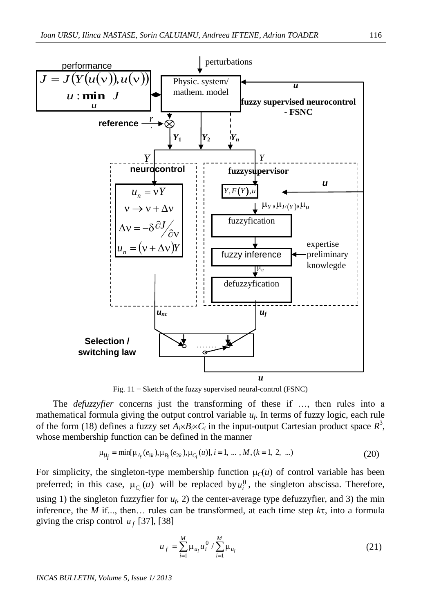

Fig. 11 − Sketch of the fuzzy supervised neural-control (FSNC)

The *defuzzyfier* concerns just the transforming of these if …, then rules into a mathematical formula giving the output control variable *u<sup>f</sup>* . In terms of fuzzy logic, each rule of the form (18) defines a fuzzy set  $A_i \times B_i \times C_i$  in the input-output Cartesian product space  $R^3$ , whose membership function can be defined in the manner<br> $\mu_{u_i} = \min[\mu_{A_i}(e_{1k}), \mu_{B_i}(e_{2k}), \mu_{C_i}(u)], i = 1, ..., M, (k = 1, 2, ...)$ 

$$
\mu_{\mathcal{U}_i} = \min[\mu_{A_i}(e_{1k}), \mu_{B_i}(e_{2k}), \mu_{C_i}(u)], i = 1, \dots, M, (k = 1, 2, \dots)
$$
\n(20)

For simplicity, the singleton-type membership function  $\mu_C(u)$  of control variable has been preferred; in this case,  $\mu_{C_i}(u)$  will be replaced by  $u_i^0$ , the singleton abscissa. Therefore, using 1) the singleton fuzzyfier for  $u_f$ , 2) the center-average type defuzzyfier, and 3) the min inference, the *M* if..., then... rules can be transformed, at each time step  $k\tau$ , into a formula giving the crisp control  $u_f$  [37], [38]

$$
u_f = \sum_{i=1}^{M} \mu_{u_i} u_i^0 / \sum_{i=1}^{M} \mu_{u_i}
$$
 (21)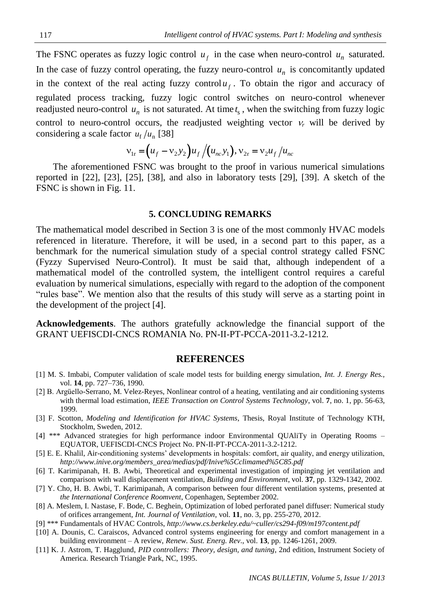The FSNC operates as fuzzy logic control  $u_f$  in the case when neuro-control  $u_n$  saturated. In the case of fuzzy control operating, the fuzzy neuro-control  $u_n$  is concomitantly updated in the context of the real acting fuzzy control  $u_f$ . To obtain the rigor and accuracy of regulated process tracking, fuzzy logic control switches on neuro-control whenever readjusted neuro-control  $u_n$  is not saturated. At time  $t_s$ , when the switching from fuzzy logic control to neuro-control occurs, the readjusted weighting vector  $v_r$  will be derived by considering a scale factor  $u_f/u_n$  [38]

or 
$$
u_f/u_n
$$
 [38]  
\n
$$
v_{1r} = (u_f - v_2 y_2) u_f/(u_{nc} y_1), v_{2r} = v_2 u_f/u_{nc}
$$

The aforementioned FSNC was brought to the proof in various numerical simulations reported in [22], [23], [25], [38], and also in laboratory tests [29], [39]. A sketch of the FSNC is shown in Fig. 11.

### **5. CONCLUDING REMARKS**

The mathematical model described in Section 3 is one of the most commonly HVAC models referenced in literature. Therefore, it will be used, in a second part to this paper, as a benchmark for the numerical simulation study of a special control strategy called FSNC (Fyzzy Supervised Neuro-Control). It must be said that, although independent of a mathematical model of the controlled system, the intelligent control requires a careful evaluation by numerical simulations, especially with regard to the adoption of the component "rules base". We mention also that the results of this study will serve as a starting point in the development of the project [4].

**Acknowledgements**. The authors gratefully acknowledge the financial support of the GRANT UEFISCDI-CNCS ROMANIA No. PN-II-PT-PCCA-2011-3.2-1212*.* 

#### **REFERENCES**

- [1] M. S. Imbabi, Computer validation of scale model tests for building energy simulation, *Int. J. Energy Res.,*  vol. **14**, pp. 727–736, 1990.
- [2] B. Argüello-Serrano, M. Velez-Reyes, Nonlinear control of a heating, ventilating and air conditioning systems with thermal load estimation, *IEEE Transaction on Control Systems Technology*, vol. **7**, no. 1, pp. 56-63, 1999.
- [3] F. Scotton, *Modeling and Identification for HVAC Systems*, Thesis, Royal Institute of Technology KTH, Stockholm, Sweden, 2012.
- [4] \*\*\* Advanced strategies for high performance indoor Environmental QUAliTy in Operating Rooms EQUATOR, UEFISCDI-CNCS Project No. PN-II-PT-PCCA-2011-3.2-1212.
- [5] E. E. Khalil, Air-conditioning systems' developments in hospitals: comfort, air quality, and energy utilization, *http://www.inive.org/members\_area/medias/pdf/Inive%5Cclimamed%5C85.pdf*
- [6] T. Karimipanah, H. B. Awbi, Theoretical and experimental investigation of impinging jet ventilation and comparison with wall displacement ventilation, *Building and Environment*, vol. **37**, pp. 1329-1342, 2002.
- [7] Y. Cho, H. B. Awbi, T. Karimipanah, A comparison between four different ventilation systems, presented at *the International Conference Roomvent*, Copenhagen, September 2002.
- [8] A. Meslem, I. Nastase, F. Bode, C. Beghein, Optimization of lobed perforated panel diffuser: Numerical study of orifices arrangement, *Int. Journal of Ventilation*, vol. **11**, no. 3, pp. 255-270, 2012.
- [9] \*\*\* Fundamentals of HVAC Controls, *http://www.cs.berkeley.edu/~culler/cs294-f09/m197content.pdf*
- [10] A. Dounis, C. Caraiscos, Advanced control systems engineering for energy and comfort management in a building environment – A review, *Renew. Sust. Energ. Rev*., vol. **13**, pp. 1246-1261, 2009.
- [11] K. J. Astrom, T. Hagglund, *PID controllers: Theory, design, and tuning*, 2nd edition, Instrument Society of America. Research Triangle Park, NC, 1995.